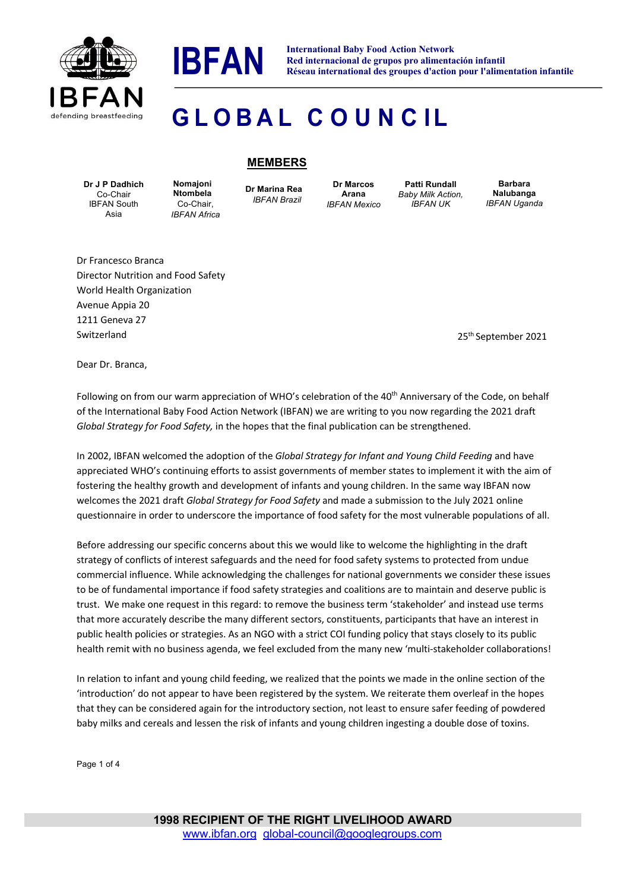



**IBFAN International Baby Food Action Network**<br>Red internacional de grupos pro alimenta **Red internacional de grupos pro alimentación infantil Réseau international des groupes d'action pour l'alimentation infantile**

## **G L O B A L C O U N C IL**

## **Dr J P Dadhich** Co-Chair IBFAN South Asia

**Nomajoni Ntombela** Co-Chair, *IBFAN Africa* **Dr Marina Rea** *IBFAN Brazil*

**MEMBERS**

**Dr Marcos Arana** *IBFAN Mexico*

**Patti Rundall** *Baby Milk Action, IBFAN UK*

**Barbara Nalubanga** *IBFAN Uganda*

Dr Francesco Branca Director Nutrition and Food Safety World Health Organization Avenue Appia 20 1211 Geneva 27 Switzerland

25th September 2021

Dear Dr. Branca,

Following on from our warm appreciation of WHO's celebration of the 40<sup>th</sup> Anniversary of the Code, on behalf of the International Baby Food Action Network (IBFAN) we are writing to you now regarding the 2021 draft *Global Strategy for Food Safety,* in the hopes that the final publication can be strengthened.

In 2002, IBFAN welcomed the adoption of the *Global Strategy for Infant and Young Child Feeding* and have appreciated WHO's continuing efforts to assist governments of member states to implement it with the aim of fostering the healthy growth and development of infants and young children. In the same way IBFAN now welcomes the 2021 draft *Global Strategy for Food Safety* and made a submission to the July 2021 online questionnaire in order to underscore the importance of food safety for the most vulnerable populations of all.

Before addressing our specific concerns about this we would like to welcome the highlighting in the draft strategy of conflicts of interest safeguards and the need for food safety systems to protected from undue commercial influence. While acknowledging the challenges for national governments we consider these issues to be of fundamental importance if food safety strategies and coalitions are to maintain and deserve public is trust. We make one request in this regard: to remove the business term 'stakeholder' and instead use terms that more accurately describe the many different sectors, constituents, participants that have an interest in public health policies or strategies. As an NGO with a strict COI funding policy that stays closely to its public health remit with no business agenda, we feel excluded from the many new 'multi-stakeholder collaborations!

In relation to infant and young child feeding, we realized that the points we made in the online section of the 'introduction' do not appear to have been registered by the system. We reiterate them overleaf in the hopes that they can be considered again for the introductory section, not least to ensure safer feeding of powdered baby milks and cereals and lessen the risk of infants and young children ingesting a double dose of toxins.

Page 1 of 4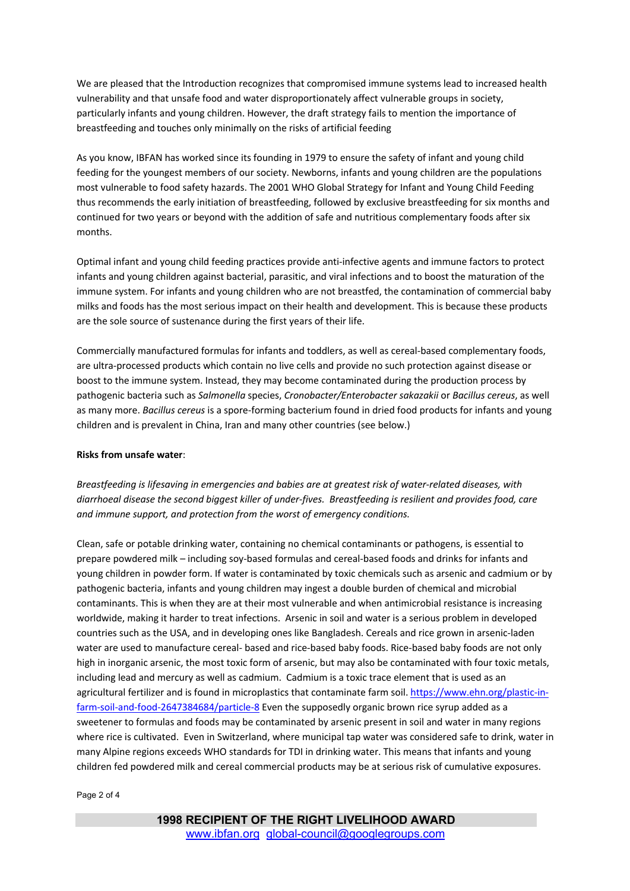We are pleased that the Introduction recognizes that compromised immune systems lead to increased health vulnerability and that unsafe food and water disproportionately affect vulnerable groups in society, particularly infants and young children. However, the draft strategy fails to mention the importance of breastfeeding and touches only minimally on the risks of artificial feeding

As you know, IBFAN has worked since its founding in 1979 to ensure the safety of infant and young child feeding for the youngest members of our society. Newborns, infants and young children are the populations most vulnerable to food safety hazards. The 2001 WHO Global Strategy for Infant and Young Child Feeding thus recommends the early initiation of breastfeeding, followed by exclusive breastfeeding for six months and continued for two years or beyond with the addition of safe and nutritious complementary foods after six months.

Optimal infant and young child feeding practices provide anti-infective agents and immune factors to protect infants and young children against bacterial, parasitic, and viral infections and to boost the maturation of the immune system. For infants and young children who are not breastfed, the contamination of commercial baby milks and foods has the most serious impact on their health and development. This is because these products are the sole source of sustenance during the first years of their life.

Commercially manufactured formulas for infants and toddlers, as well as cereal-based complementary foods, are ultra-processed products which contain no live cells and provide no such protection against disease or boost to the immune system. Instead, they may become contaminated during the production process by pathogenic bacteria such as *Salmonella* species, *Cronobacter/Enterobacter sakazakii* or *Bacillus cereus*, as well as many more. *Bacillus cereus* is a spore-forming bacterium found in dried food products for infants and young children and is prevalent in China, Iran and many other countries (see below.)

## **Risks from unsafe water**:

*Breastfeeding is lifesaving in emergencies and babies are at greatest risk of water-related diseases, with diarrhoeal disease the second biggest killer of under-fives. Breastfeeding is resilient and provides food, care and immune support, and protection from the worst of emergency conditions.* 

Clean, safe or potable drinking water, containing no chemical contaminants or pathogens, is essential to prepare powdered milk – including soy-based formulas and cereal-based foods and drinks for infants and young children in powder form. If water is contaminated by toxic chemicals such as arsenic and cadmium or by pathogenic bacteria, infants and young children may ingest a double burden of chemical and microbial contaminants. This is when they are at their most vulnerable and when antimicrobial resistance is increasing worldwide, making it harder to treat infections. Arsenic in soil and water is a serious problem in developed countries such as the USA, and in developing ones like Bangladesh. Cereals and rice grown in arsenic-laden water are used to manufacture cereal- based and rice-based baby foods. Rice-based baby foods are not only high in inorganic arsenic, the most toxic form of arsenic, but may also be contaminated with four toxic metals, including lead and mercury as well as cadmium. Cadmium is a toxic trace element that is used as an agricultural fertilizer and is found in microplastics that contaminate farm soil. https://www.ehn.org/plastic-infarm-soil-and-food-2647384684/particle-8 Even the supposedly organic brown rice syrup added as a sweetener to formulas and foods may be contaminated by arsenic present in soil and water in many regions where rice is cultivated. Even in Switzerland, where municipal tap water was considered safe to drink, water in many Alpine regions exceeds WHO standards for TDI in drinking water. This means that infants and young children fed powdered milk and cereal commercial products may be at serious risk of cumulative exposures.

## Page 2 of 4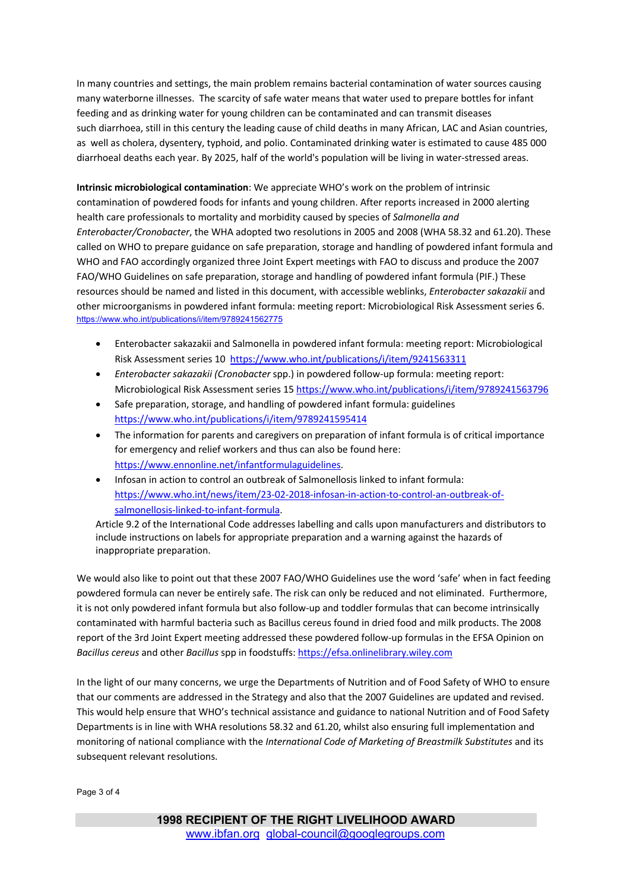In many countries and settings, the main problem remains bacterial contamination of water sources causing many waterborne illnesses. The scarcity of safe water means that water used to prepare bottles for infant feeding and as drinking water for young children can be contaminated and can transmit diseases such diarrhoea, still in this century the leading cause of child deaths in many African, LAC and Asian countries, as well as cholera, dysentery, typhoid, and polio. Contaminated drinking water is estimated to cause 485 000 diarrhoeal deaths each year. By 2025, half of the world's population will be living in water-stressed areas.

**Intrinsic microbiological contamination**: We appreciate WHO's work on the problem of intrinsic contamination of powdered foods for infants and young children. After reports increased in 2000 alerting health care professionals to mortality and morbidity caused by species of *Salmonella and Enterobacter/Cronobacter*, the WHA adopted two resolutions in 2005 and 2008 (WHA 58.32 and 61.20). These called on WHO to prepare guidance on safe preparation, storage and handling of powdered infant formula and WHO and FAO accordingly organized three Joint Expert meetings with FAO to discuss and produce the 2007 FAO/WHO Guidelines on safe preparation, storage and handling of powdered infant formula (PIF.) These resources should be named and listed in this document, with accessible weblinks, *Enterobacter sakazakii* and other microorganisms in powdered infant formula: meeting report: Microbiological Risk Assessment series 6. https://www.who.int/publications/i/item/9789241562775

- Enterobacter sakazakii and Salmonella in powdered infant formula: meeting report: Microbiological Risk Assessment series 10 https://www.who.int/publications/i/item/9241563311
- *Enterobacter sakazakii (Cronobacter* spp.) in powdered follow-up formula: meeting report: Microbiological Risk Assessment series 15 https://www.who.int/publications/i/item/9789241563796
- Safe preparation, storage, and handling of powdered infant formula: guidelines https://www.who.int/publications/i/item/9789241595414
- The information for parents and caregivers on preparation of infant formula is of critical importance for emergency and relief workers and thus can also be found here: https://www.ennonline.net/infantformulaguidelines.
- Infosan in action to control an outbreak of Salmonellosis linked to infant formula: https://www.who.int/news/item/23-02-2018-infosan-in-action-to-control-an-outbreak-ofsalmonellosis-linked-to-infant-formula.

Article 9.2 of the International Code addresses labelling and calls upon manufacturers and distributors to include instructions on labels for appropriate preparation and a warning against the hazards of inappropriate preparation.

We would also like to point out that these 2007 FAO/WHO Guidelines use the word 'safe' when in fact feeding powdered formula can never be entirely safe. The risk can only be reduced and not eliminated. Furthermore, it is not only powdered infant formula but also follow-up and toddler formulas that can become intrinsically contaminated with harmful bacteria such as Bacillus cereus found in dried food and milk products. The 2008 report of the 3rd Joint Expert meeting addressed these powdered follow-up formulas in the EFSA Opinion on *Bacillus cereus* and other *Bacillus* spp in foodstuffs: https://efsa.onlinelibrary.wiley.com

In the light of our many concerns, we urge the Departments of Nutrition and of Food Safety of WHO to ensure that our comments are addressed in the Strategy and also that the 2007 Guidelines are updated and revised. This would help ensure that WHO's technical assistance and guidance to national Nutrition and of Food Safety Departments is in line with WHA resolutions 58.32 and 61.20, whilst also ensuring full implementation and monitoring of national compliance with the *International Code of Marketing of Breastmilk Substitutes* and its subsequent relevant resolutions.

Page 3 of 4